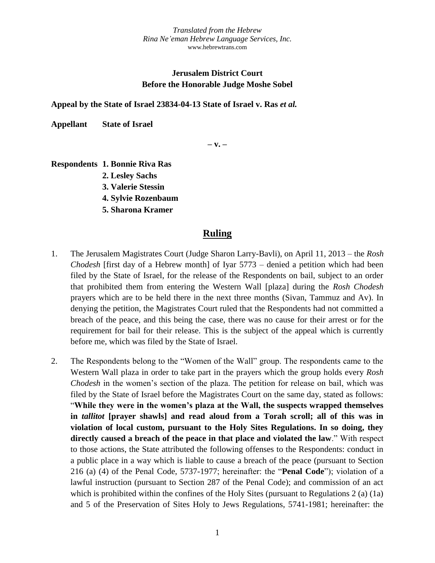# **Jerusalem District Court Before the Honorable Judge Moshe Sobel**

**Appeal by the State of Israel 23834-04-13 State of Israel v. Ras** *et al.*

**Appellant State of Israel**

**– v. –**

**Respondents 1. Bonnie Riva Ras**

- **2. Lesley Sachs**
- **3. Valerie Stessin**
- **4. Sylvie Rozenbaum**
- **5. Sharona Kramer**

## **Ruling**

- 1. The Jerusalem Magistrates Court (Judge Sharon Larry-Bavli), on April 11, 2013 the *Rosh Chodesh* [first day of a Hebrew month] of Iyar 5773 – denied a petition which had been filed by the State of Israel, for the release of the Respondents on bail, subject to an order that prohibited them from entering the Western Wall [plaza] during the *Rosh Chodesh* prayers which are to be held there in the next three months (Sivan, Tammuz and Av). In denying the petition, the Magistrates Court ruled that the Respondents had not committed a breach of the peace, and this being the case, there was no cause for their arrest or for the requirement for bail for their release. This is the subject of the appeal which is currently before me, which was filed by the State of Israel.
- 2. The Respondents belong to the "Women of the Wall" group. The respondents came to the Western Wall plaza in order to take part in the prayers which the group holds every *Rosh Chodesh* in the women's section of the plaza. The petition for release on bail, which was filed by the State of Israel before the Magistrates Court on the same day, stated as follows: "**While they were in the women's plaza at the Wall, the suspects wrapped themselves in** *tallitot* **[prayer shawls] and read aloud from a Torah scroll; all of this was in violation of local custom, pursuant to the Holy Sites Regulations. In so doing, they directly caused a breach of the peace in that place and violated the law**." With respect to those actions, the State attributed the following offenses to the Respondents: conduct in a public place in a way which is liable to cause a breach of the peace (pursuant to Section 216 (a) (4) of the Penal Code, 5737-1977; hereinafter: the "**Penal Code**"); violation of a lawful instruction (pursuant to Section 287 of the Penal Code); and commission of an act which is prohibited within the confines of the Holy Sites (pursuant to Regulations 2 (a) (1a) and 5 of the Preservation of Sites Holy to Jews Regulations, 5741-1981; hereinafter: the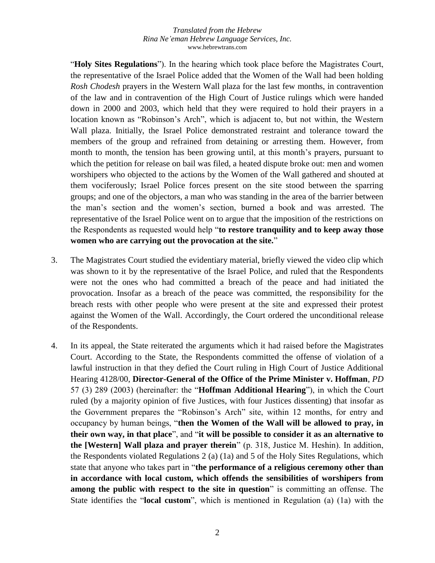"**Holy Sites Regulations**"). In the hearing which took place before the Magistrates Court, the representative of the Israel Police added that the Women of the Wall had been holding *Rosh Chodesh* prayers in the Western Wall plaza for the last few months, in contravention of the law and in contravention of the High Court of Justice rulings which were handed down in 2000 and 2003, which held that they were required to hold their prayers in a location known as "Robinson's Arch", which is adjacent to, but not within, the Western Wall plaza. Initially, the Israel Police demonstrated restraint and tolerance toward the members of the group and refrained from detaining or arresting them. However, from month to month, the tension has been growing until, at this month's prayers, pursuant to which the petition for release on bail was filed, a heated dispute broke out: men and women worshipers who objected to the actions by the Women of the Wall gathered and shouted at them vociferously; Israel Police forces present on the site stood between the sparring groups; and one of the objectors, a man who was standing in the area of the barrier between the man's section and the women's section, burned a book and was arrested. The representative of the Israel Police went on to argue that the imposition of the restrictions on the Respondents as requested would help "**to restore tranquility and to keep away those women who are carrying out the provocation at the site.**"

- 3. The Magistrates Court studied the evidentiary material, briefly viewed the video clip which was shown to it by the representative of the Israel Police, and ruled that the Respondents were not the ones who had committed a breach of the peace and had initiated the provocation. Insofar as a breach of the peace was committed, the responsibility for the breach rests with other people who were present at the site and expressed their protest against the Women of the Wall. Accordingly, the Court ordered the unconditional release of the Respondents.
- 4. In its appeal, the State reiterated the arguments which it had raised before the Magistrates Court. According to the State, the Respondents committed the offense of violation of a lawful instruction in that they defied the Court ruling in High Court of Justice Additional Hearing 4128/00, **Director-General of the Office of the Prime Minister v. Hoffman**, *PD* 57 (3) 289 (2003) (hereinafter: the "**Hoffman Additional Hearing**"), in which the Court ruled (by a majority opinion of five Justices, with four Justices dissenting) that insofar as the Government prepares the "Robinson's Arch" site, within 12 months, for entry and occupancy by human beings, "**then the Women of the Wall will be allowed to pray, in their own way, in that place**", and "**it will be possible to consider it as an alternative to the [Western] Wall plaza and prayer therein**" (p. 318, Justice M. Heshin). In addition, the Respondents violated Regulations 2 (a) (1a) and 5 of the Holy Sites Regulations, which state that anyone who takes part in "**the performance of a religious ceremony other than in accordance with local custom, which offends the sensibilities of worshipers from among the public with respect to the site in question**" is committing an offense. The State identifies the "**local custom**", which is mentioned in Regulation (a) (1a) with the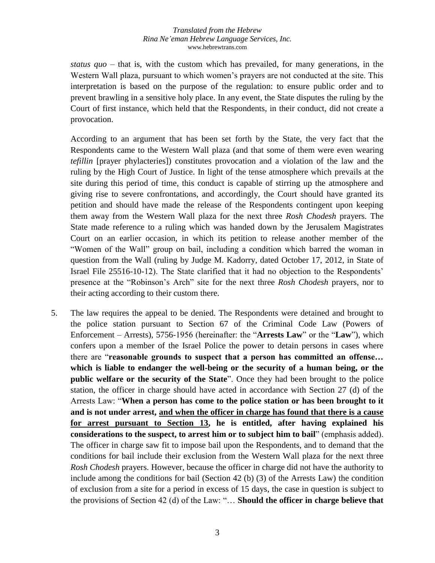*status quo* – that is, with the custom which has prevailed, for many generations, in the Western Wall plaza, pursuant to which women's prayers are not conducted at the site. This interpretation is based on the purpose of the regulation: to ensure public order and to prevent brawling in a sensitive holy place. In any event, the State disputes the ruling by the Court of first instance, which held that the Respondents, in their conduct, did not create a provocation.

According to an argument that has been set forth by the State, the very fact that the Respondents came to the Western Wall plaza (and that some of them were even wearing *tefillin* [prayer phylacteries]) constitutes provocation and a violation of the law and the ruling by the High Court of Justice. In light of the tense atmosphere which prevails at the site during this period of time, this conduct is capable of stirring up the atmosphere and giving rise to severe confrontations, and accordingly, the Court should have granted its petition and should have made the release of the Respondents contingent upon keeping them away from the Western Wall plaza for the next three *Rosh Chodesh* prayers. The State made reference to a ruling which was handed down by the Jerusalem Magistrates Court on an earlier occasion, in which its petition to release another member of the "Women of the Wall" group on bail, including a condition which barred the woman in question from the Wall (ruling by Judge M. Kadorry, dated October 17, 2012, in State of Israel File 25516-10-12). The State clarified that it had no objection to the Respondents' presence at the "Robinson's Arch" site for the next three *Rosh Chodesh* prayers, nor to their acting according to their custom there.

5. The law requires the appeal to be denied. The Respondents were detained and brought to the police station pursuant to Section 67 of the Criminal Code Law (Powers of Enforcement – Arrests), 5756-1956 (hereinafter: the "**Arrests Law**" or the "**Law**"), which confers upon a member of the Israel Police the power to detain persons in cases where there are "**reasonable grounds to suspect that a person has committed an offense… which is liable to endanger the well-being or the security of a human being, or the public welfare or the security of the State**". Once they had been brought to the police station, the officer in charge should have acted in accordance with Section 27 (d) of the Arrests Law: "**When a person has come to the police station or has been brought to it and is not under arrest, and when the officer in charge has found that there is a cause for arrest pursuant to Section 13, he is entitled, after having explained his considerations to the suspect, to arrest him or to subject him to bail**" (emphasis added). The officer in charge saw fit to impose bail upon the Respondents, and to demand that the conditions for bail include their exclusion from the Western Wall plaza for the next three *Rosh Chodesh* prayers. However, because the officer in charge did not have the authority to include among the conditions for bail (Section 42 (b) (3) of the Arrests Law) the condition of exclusion from a site for a period in excess of 15 days, the case in question is subject to the provisions of Section 42 (d) of the Law: "… **Should the officer in charge believe that**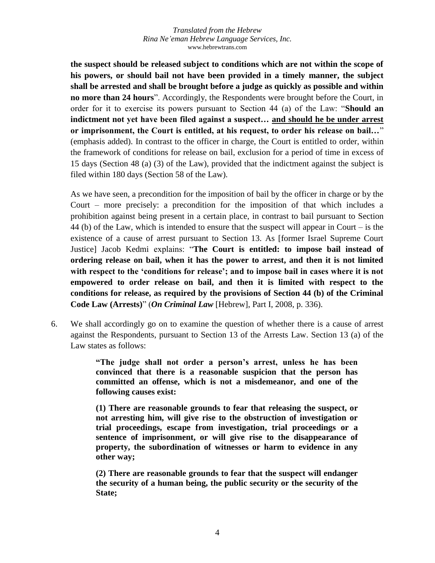**the suspect should be released subject to conditions which are not within the scope of his powers, or should bail not have been provided in a timely manner, the subject shall be arrested and shall be brought before a judge as quickly as possible and within no more than 24 hours**". Accordingly, the Respondents were brought before the Court, in order for it to exercise its powers pursuant to Section 44 (a) of the Law: "**Should an indictment not yet have been filed against a suspect… and should he be under arrest or imprisonment, the Court is entitled, at his request, to order his release on bail…**" (emphasis added). In contrast to the officer in charge, the Court is entitled to order, within the framework of conditions for release on bail, exclusion for a period of time in excess of 15 days (Section 48 (a) (3) of the Law), provided that the indictment against the subject is filed within 180 days (Section 58 of the Law).

As we have seen, a precondition for the imposition of bail by the officer in charge or by the Court – more precisely: a precondition for the imposition of that which includes a prohibition against being present in a certain place, in contrast to bail pursuant to Section 44 (b) of the Law, which is intended to ensure that the suspect will appear in Court – is the existence of a cause of arrest pursuant to Section 13. As [former Israel Supreme Court Justice] Jacob Kedmi explains: "**The Court is entitled: to impose bail instead of ordering release on bail, when it has the power to arrest, and then it is not limited with respect to the 'conditions for release'; and to impose bail in cases where it is not empowered to order release on bail, and then it is limited with respect to the conditions for release, as required by the provisions of Section 44 (b) of the Criminal Code Law (Arrests)**" (*On Criminal Law* [Hebrew], Part I, 2008, p. 336).

6. We shall accordingly go on to examine the question of whether there is a cause of arrest against the Respondents, pursuant to Section 13 of the Arrests Law. Section 13 (a) of the Law states as follows:

> **"The judge shall not order a person's arrest, unless he has been convinced that there is a reasonable suspicion that the person has committed an offense, which is not a misdemeanor, and one of the following causes exist:**

> **(1) There are reasonable grounds to fear that releasing the suspect, or not arresting him, will give rise to the obstruction of investigation or trial proceedings, escape from investigation, trial proceedings or a sentence of imprisonment, or will give rise to the disappearance of property, the subordination of witnesses or harm to evidence in any other way;**

> **(2) There are reasonable grounds to fear that the suspect will endanger the security of a human being, the public security or the security of the State;**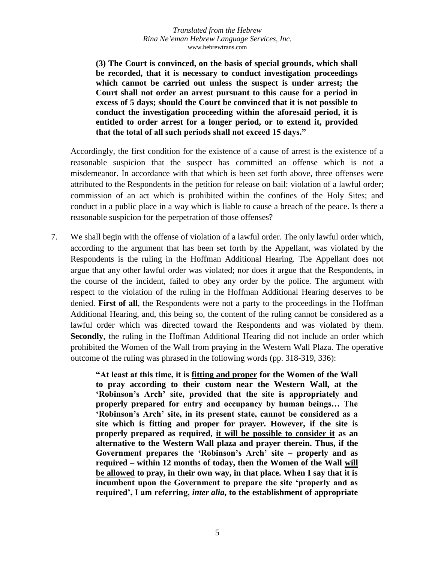**(3) The Court is convinced, on the basis of special grounds, which shall be recorded, that it is necessary to conduct investigation proceedings which cannot be carried out unless the suspect is under arrest; the Court shall not order an arrest pursuant to this cause for a period in excess of 5 days; should the Court be convinced that it is not possible to conduct the investigation proceeding within the aforesaid period, it is entitled to order arrest for a longer period, or to extend it, provided that the total of all such periods shall not exceed 15 days."**

Accordingly, the first condition for the existence of a cause of arrest is the existence of a reasonable suspicion that the suspect has committed an offense which is not a misdemeanor. In accordance with that which is been set forth above, three offenses were attributed to the Respondents in the petition for release on bail: violation of a lawful order; commission of an act which is prohibited within the confines of the Holy Sites; and conduct in a public place in a way which is liable to cause a breach of the peace. Is there a reasonable suspicion for the perpetration of those offenses?

7. We shall begin with the offense of violation of a lawful order. The only lawful order which, according to the argument that has been set forth by the Appellant, was violated by the Respondents is the ruling in the Hoffman Additional Hearing. The Appellant does not argue that any other lawful order was violated; nor does it argue that the Respondents, in the course of the incident, failed to obey any order by the police. The argument with respect to the violation of the ruling in the Hoffman Additional Hearing deserves to be denied. **First of all**, the Respondents were not a party to the proceedings in the Hoffman Additional Hearing, and, this being so, the content of the ruling cannot be considered as a lawful order which was directed toward the Respondents and was violated by them. **Secondly**, the ruling in the Hoffman Additional Hearing did not include an order which prohibited the Women of the Wall from praying in the Western Wall Plaza. The operative outcome of the ruling was phrased in the following words (pp. 318-319, 336):

> **"At least at this time, it is fitting and proper for the Women of the Wall to pray according to their custom near the Western Wall, at the 'Robinson's Arch' site, provided that the site is appropriately and properly prepared for entry and occupancy by human beings… The 'Robinson's Arch' site, in its present state, cannot be considered as a site which is fitting and proper for prayer. However, if the site is properly prepared as required, it will be possible to consider it as an alternative to the Western Wall plaza and prayer therein. Thus, if the Government prepares the 'Robinson's Arch' site – properly and as required – within 12 months of today, then the Women of the Wall will be allowed to pray, in their own way, in that place. When I say that it is incumbent upon the Government to prepare the site 'properly and as required', I am referring,** *inter alia***, to the establishment of appropriate**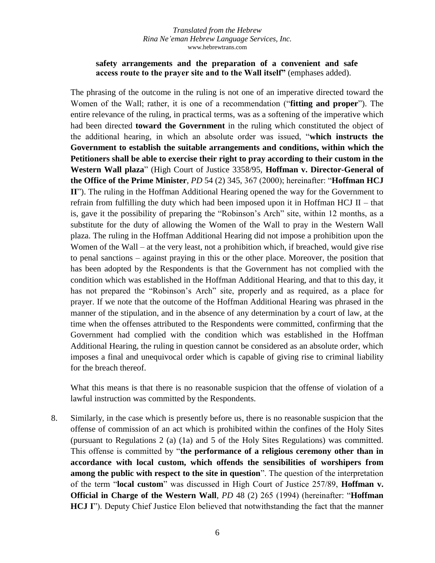### **safety arrangements and the preparation of a convenient and safe access route to the prayer site and to the Wall itself"** (emphases added).

The phrasing of the outcome in the ruling is not one of an imperative directed toward the Women of the Wall; rather, it is one of a recommendation ("**fitting and proper**"). The entire relevance of the ruling, in practical terms, was as a softening of the imperative which had been directed **toward the Government** in the ruling which constituted the object of the additional hearing, in which an absolute order was issued, "**which instructs the Government to establish the suitable arrangements and conditions, within which the Petitioners shall be able to exercise their right to pray according to their custom in the Western Wall plaza**" (High Court of Justice 3358/95, **Hoffman v. Director-General of the Office of the Prime Minister**, *PD* 54 (2) 345, 367 (2000); hereinafter: "**Hoffman HCJ II**"). The ruling in the Hoffman Additional Hearing opened the way for the Government to refrain from fulfilling the duty which had been imposed upon it in Hoffman HCJ  $II$  – that is, gave it the possibility of preparing the "Robinson's Arch" site, within 12 months, as a substitute for the duty of allowing the Women of the Wall to pray in the Western Wall plaza. The ruling in the Hoffman Additional Hearing did not impose a prohibition upon the Women of the Wall – at the very least, not a prohibition which, if breached, would give rise to penal sanctions – against praying in this or the other place. Moreover, the position that has been adopted by the Respondents is that the Government has not complied with the condition which was established in the Hoffman Additional Hearing, and that to this day, it has not prepared the "Robinson's Arch" site, properly and as required, as a place for prayer. If we note that the outcome of the Hoffman Additional Hearing was phrased in the manner of the stipulation, and in the absence of any determination by a court of law, at the time when the offenses attributed to the Respondents were committed, confirming that the Government had complied with the condition which was established in the Hoffman Additional Hearing, the ruling in question cannot be considered as an absolute order, which imposes a final and unequivocal order which is capable of giving rise to criminal liability for the breach thereof.

What this means is that there is no reasonable suspicion that the offense of violation of a lawful instruction was committed by the Respondents.

8. Similarly, in the case which is presently before us, there is no reasonable suspicion that the offense of commission of an act which is prohibited within the confines of the Holy Sites (pursuant to Regulations 2 (a) (1a) and 5 of the Holy Sites Regulations) was committed. This offense is committed by "**the performance of a religious ceremony other than in accordance with local custom, which offends the sensibilities of worshipers from among the public with respect to the site in question**". The question of the interpretation of the term "**local custom**" was discussed in High Court of Justice 257/89, **Hoffman v. Official in Charge of the Western Wall**, *PD* 48 (2) 265 (1994) (hereinafter: "**Hoffman HCJ I**"). Deputy Chief Justice Elon believed that notwithstanding the fact that the manner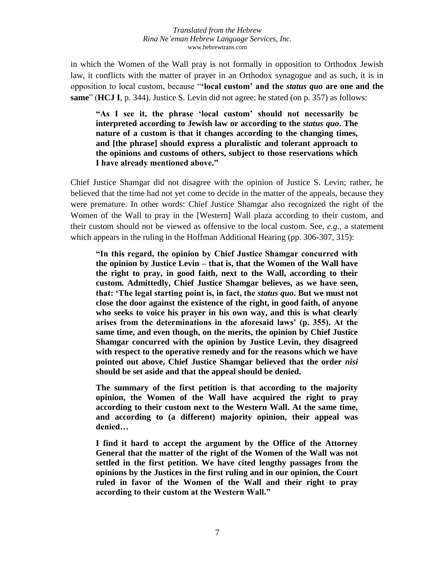in which the Women of the Wall pray is not formally in opposition to Orthodox Jewish law, it conflicts with the matter of prayer in an Orthodox synagogue and as such, it is in opposition to local custom, because "**'local custom' and the** *status quo* **are one and the same**" (**HCJ I**, p. 344). Justice S. Levin did not agree; he stated (on p. 357) as follows:

**"As I see it, the phrase 'local custom' should not necessarily be interpreted according to Jewish law or according to the** *status quo***. The nature of a custom is that it changes according to the changing times, and [the phrase] should express a pluralistic and tolerant approach to the opinions and customs of others, subject to those reservations which I have already mentioned above."**

Chief Justice Shamgar did not disagree with the opinion of Justice S. Levin; rather, he believed that the time had not yet come to decide in the matter of the appeals, because they were premature. In other words: Chief Justice Shamgar also recognized the right of the Women of the Wall to pray in the [Western] Wall plaza according to their custom, and their custom should not be viewed as offensive to the local custom. See, *e.g.*, a statement which appears in the ruling in the Hoffman Additional Hearing (pp. 306-307, 315):

**"In this regard, the opinion by Chief Justice Shamgar concurred with the opinion by Justice Levin – that is, that the Women of the Wall have the right to pray, in good faith, next to the Wall, according to their custom. Admittedly, Chief Justice Shamgar believes, as we have seen, that: 'The legal starting point is, in fact, the** *status quo***. But we must not close the door against the existence of the right, in good faith, of anyone who seeks to voice his prayer in his own way, and this is what clearly arises from the determinations in the aforesaid laws' (p. 355). At the same time, and even though, on the merits, the opinion by Chief Justice Shamgar concurred with the opinion by Justice Levin, they disagreed with respect to the operative remedy and for the reasons which we have pointed out above, Chief Justice Shamgar believed that the order** *nisi* **should be set aside and that the appeal should be denied.**

**The summary of the first petition is that according to the majority opinion, the Women of the Wall have acquired the right to pray according to their custom next to the Western Wall. At the same time, and according to (a different) majority opinion, their appeal was denied…**

**I find it hard to accept the argument by the Office of the Attorney General that the matter of the right of the Women of the Wall was not settled in the first petition. We have cited lengthy passages from the opinions by the Justices in the first ruling and in our opinion, the Court ruled in favor of the Women of the Wall and their right to pray according to their custom at the Western Wall."**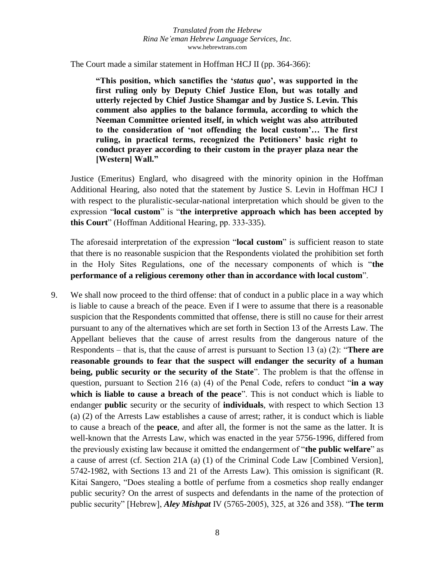The Court made a similar statement in Hoffman HCJ II (pp. 364-366):

**"This position, which sanctifies the '***status quo***', was supported in the first ruling only by Deputy Chief Justice Elon, but was totally and utterly rejected by Chief Justice Shamgar and by Justice S. Levin. This comment also applies to the balance formula, according to which the Neeman Committee oriented itself, in which weight was also attributed to the consideration of 'not offending the local custom'… The first ruling, in practical terms, recognized the Petitioners' basic right to conduct prayer according to their custom in the prayer plaza near the [Western] Wall."**

Justice (Emeritus) Englard, who disagreed with the minority opinion in the Hoffman Additional Hearing, also noted that the statement by Justice S. Levin in Hoffman HCJ I with respect to the pluralistic-secular-national interpretation which should be given to the expression "**local custom**" is "**the interpretive approach which has been accepted by this Court**" (Hoffman Additional Hearing, pp. 333-335).

The aforesaid interpretation of the expression "**local custom**" is sufficient reason to state that there is no reasonable suspicion that the Respondents violated the prohibition set forth in the Holy Sites Regulations, one of the necessary components of which is "**the performance of a religious ceremony other than in accordance with local custom**".

9. We shall now proceed to the third offense: that of conduct in a public place in a way which is liable to cause a breach of the peace. Even if I were to assume that there is a reasonable suspicion that the Respondents committed that offense, there is still no cause for their arrest pursuant to any of the alternatives which are set forth in Section 13 of the Arrests Law. The Appellant believes that the cause of arrest results from the dangerous nature of the Respondents – that is, that the cause of arrest is pursuant to Section 13 (a) (2): "**There are reasonable grounds to fear that the suspect will endanger the security of a human being, public security or the security of the State**". The problem is that the offense in question, pursuant to Section 216 (a) (4) of the Penal Code, refers to conduct "**in a way which is liable to cause a breach of the peace**". This is not conduct which is liable to endanger **public** security or the security of **individuals**, with respect to which Section 13 (a) (2) of the Arrests Law establishes a cause of arrest; rather, it is conduct which is liable to cause a breach of the **peace**, and after all, the former is not the same as the latter. It is well-known that the Arrests Law, which was enacted in the year 5756-1996, differed from the previously existing law because it omitted the endangerment of "**the public welfare**" as a cause of arrest (cf. Section 21A (a) (1) of the Criminal Code Law [Combined Version], 5742-1982, with Sections 13 and 21 of the Arrests Law). This omission is significant (R. Kitai Sangero, "Does stealing a bottle of perfume from a cosmetics shop really endanger public security? On the arrest of suspects and defendants in the name of the protection of public security" [Hebrew], *Aley Mishpat* IV (5765-2005), 325, at 326 and 358). "**The term**